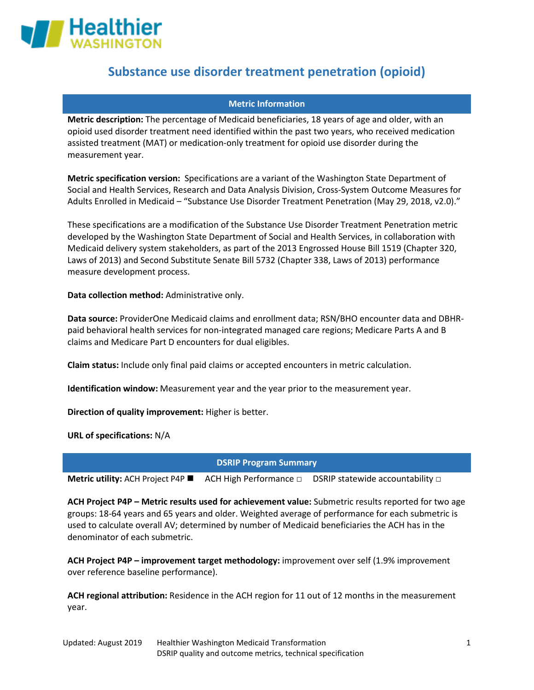

### **Metric Information**

**Metric description:** The percentage of Medicaid beneficiaries, 18 years of age and older, with an opioid used disorder treatment need identified within the past two years, who received medication assisted treatment (MAT) or medication-only treatment for opioid use disorder during the measurement year.

**Metric specification version:** Specifications are a variant of the Washington State Department of Social and Health Services, Research and Data Analysis Division, Cross-System Outcome Measures for Adults Enrolled in Medicaid – "Substance Use Disorder Treatment Penetration (May 29, 2018, v2.0)."

These specifications are a modification of the Substance Use Disorder Treatment Penetration metric developed by the Washington State Department of Social and Health Services, in collaboration with Medicaid delivery system stakeholders, as part of the 2013 Engrossed House Bill 1519 (Chapter 320, Laws of 2013) and Second Substitute Senate Bill 5732 (Chapter 338, Laws of 2013) performance measure development process.

**Data collection method:** Administrative only.

**Data source:** ProviderOne Medicaid claims and enrollment data; RSN/BHO encounter data and DBHRpaid behavioral health services for non-integrated managed care regions; Medicare Parts A and B claims and Medicare Part D encounters for dual eligibles.

**Claim status:** Include only final paid claims or accepted encounters in metric calculation.

**Identification window:** Measurement year and the year prior to the measurement year.

**Direction of quality improvement:** Higher is better.

**URL of specifications:** N/A

**DSRIP Program Summary**

**Metric utility:** ACH Project P4P **EXECT ACH High Performance □ DSRIP statewide accountability □** 

**ACH Project P4P – Metric results used for achievement value:** Submetric results reported for two age groups: 18-64 years and 65 years and older. Weighted average of performance for each submetric is used to calculate overall AV; determined by number of Medicaid beneficiaries the ACH has in the denominator of each submetric.

**ACH Project P4P – improvement target methodology:** improvement over self (1.9% improvement over reference baseline performance).

**ACH regional attribution:** Residence in the ACH region for 11 out of 12 months in the measurement year.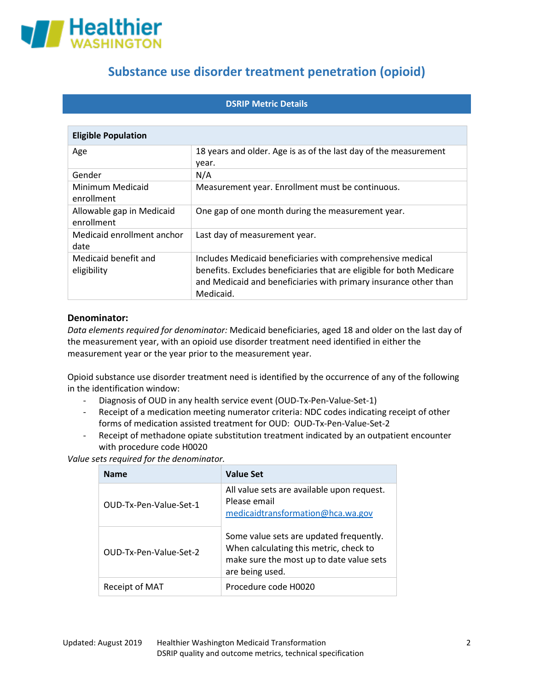

## **DSRIP Metric Details**

| <b>Eligible Population</b>              |                                                                                                                                                                                                                     |  |
|-----------------------------------------|---------------------------------------------------------------------------------------------------------------------------------------------------------------------------------------------------------------------|--|
| Age                                     | 18 years and older. Age is as of the last day of the measurement<br>year.                                                                                                                                           |  |
| Gender                                  | N/A                                                                                                                                                                                                                 |  |
| Minimum Medicaid<br>enrollment          | Measurement year. Enrollment must be continuous.                                                                                                                                                                    |  |
| Allowable gap in Medicaid<br>enrollment | One gap of one month during the measurement year.                                                                                                                                                                   |  |
| Medicaid enrollment anchor<br>date      | Last day of measurement year.                                                                                                                                                                                       |  |
| Medicaid benefit and<br>eligibility     | Includes Medicaid beneficiaries with comprehensive medical<br>benefits. Excludes beneficiaries that are eligible for both Medicare<br>and Medicaid and beneficiaries with primary insurance other than<br>Medicaid. |  |

### **Denominator:**

*Data elements required for denominator:* Medicaid beneficiaries, aged 18 and older on the last day of the measurement year, with an opioid use disorder treatment need identified in either the measurement year or the year prior to the measurement year.

Opioid substance use disorder treatment need is identified by the occurrence of any of the following in the identification window:

- Diagnosis of OUD in any health service event (OUD-Tx-Pen-Value-Set-1)
- Receipt of a medication meeting numerator criteria: NDC codes indicating receipt of other forms of medication assisted treatment for OUD: OUD-Tx-Pen-Value-Set-2
- Receipt of methadone opiate substitution treatment indicated by an outpatient encounter with procedure code H0020

*Value sets required for the denominator.*

| <b>Name</b>            | <b>Value Set</b>                                                                                                                                 |
|------------------------|--------------------------------------------------------------------------------------------------------------------------------------------------|
| OUD-Tx-Pen-Value-Set-1 | All value sets are available upon request.<br>Please email<br>medicaidtransformation@hca.wa.gov                                                  |
| OUD-Tx-Pen-Value-Set-2 | Some value sets are updated frequently.<br>When calculating this metric, check to<br>make sure the most up to date value sets<br>are being used. |
| Receipt of MAT         | Procedure code H0020                                                                                                                             |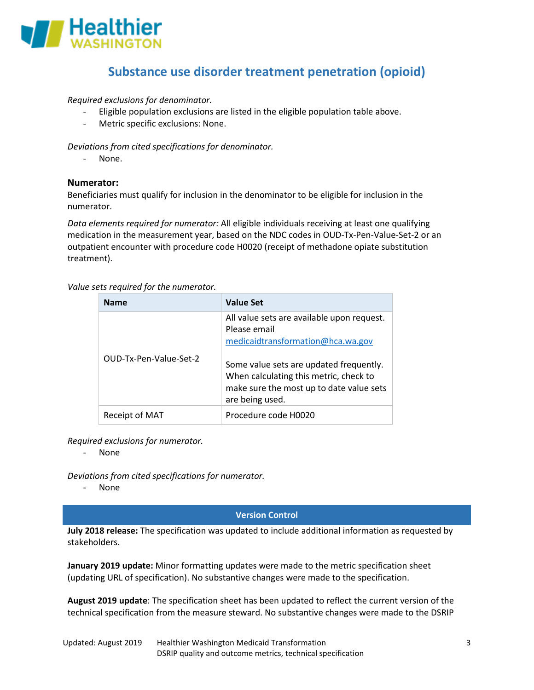

*Required exclusions for denominator.*

- Eligible population exclusions are listed in the eligible population table above.
- Metric specific exclusions: None.

*Deviations from cited specifications for denominator.* 

- None.

## **Numerator:**

Beneficiaries must qualify for inclusion in the denominator to be eligible for inclusion in the numerator.

*Data elements required for numerator:* All eligible individuals receiving at least one qualifying medication in the measurement year, based on the NDC codes in OUD-Tx-Pen-Value-Set-2 or an outpatient encounter with procedure code H0020 (receipt of methadone opiate substitution treatment).

#### *Value sets required for the numerator.*

| <b>Name</b>            | <b>Value Set</b>                                                                                                                                                                                                                                    |
|------------------------|-----------------------------------------------------------------------------------------------------------------------------------------------------------------------------------------------------------------------------------------------------|
| OUD-Tx-Pen-Value-Set-2 | All value sets are available upon request.<br>Please email<br>medicaidtransformation@hca.wa.gov<br>Some value sets are updated frequently.<br>When calculating this metric, check to<br>make sure the most up to date value sets<br>are being used. |
| Receipt of MAT         | Procedure code H0020                                                                                                                                                                                                                                |

*Required exclusions for numerator.*

- None

*Deviations from cited specifications for numerator.* 

- None

#### **Version Control**

**July 2018 release:** The specification was updated to include additional information as requested by stakeholders.

**January 2019 update:** Minor formatting updates were made to the metric specification sheet (updating URL of specification). No substantive changes were made to the specification.

**August 2019 update**: The specification sheet has been updated to reflect the current version of the technical specification from the measure steward. No substantive changes were made to the DSRIP